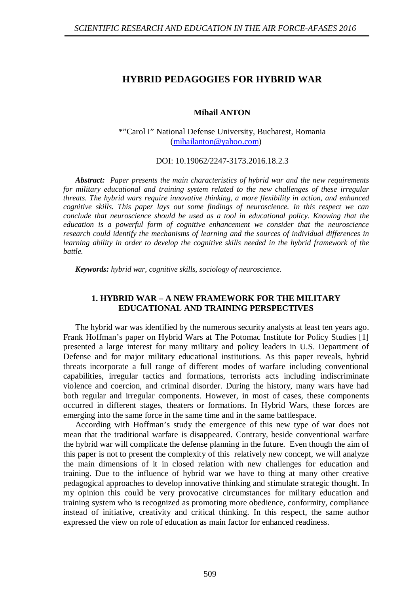# **HYBRID PEDAGOGIES FOR HYBRID WAR**

**Mihail ANTON**

\*"Carol I" National Defense University, Bucharest, Romania [\(mihailanton@yahoo.com\)](mailto:mihailanton@yahoo.com)

DOI: 10.19062/2247-3173.2016.18.2.3

*Abstract: Paper presents the main characteristics of hybrid war and the new requirements for military educational and training system related to the new challenges of these irregular threats. The hybrid wars require innovative thinking, a more flexibility in action, and enhanced cognitive skills. This paper lays out some findings of neuroscience. In this respect we can conclude that neuroscience should be used as a tool in educational policy. Knowing that the education is a powerful form of cognitive enhancement we consider that the neuroscience research could identify the mechanisms of learning and the sources of individual differences in learning ability in order to develop the cognitive skills needed in the hybrid framework of the battle.* 

*Keywords: hybrid war, cognitive skills, sociology of neuroscience.*

## **1. HYBRID WAR – A NEW FRAMEWORK FOR THE MILITARY EDUCATIONAL AND TRAINING PERSPECTIVES**

The hybrid war was identified by the numerous security analysts at least ten years ago. Frank Hoffman's paper on Hybrid Wars at The Potomac Institute for Policy Studies [1] presented a large interest for many military and policy leaders in U.S. Department of Defense and for major military educational institutions. As this paper reveals, hybrid threats incorporate a full range of different modes of warfare including conventional capabilities, irregular tactics and formations, terrorists acts including indiscriminate violence and coercion, and criminal disorder. During the history, many wars have had both regular and irregular components. However, in most of cases, these components occurred in different stages, theaters or formations. In Hybrid Wars, these forces are emerging into the same force in the same time and in the same battlespace.

According with Hoffman's study the emergence of this new type of war does not mean that the traditional warfare is disappeared. Contrary, beside conventional warfare the hybrid war will complicate the defense planning in the future. Even though the aim of this paper is not to present the complexity of this relatively new concept, we will analyze the main dimensions of it in closed relation with new challenges for education and training. Due to the influence of hybrid war we have to thing at many other creative pedagogical approaches to develop innovative thinking and stimulate strategic thought. In my opinion this could be very provocative circumstances for military education and training system who is recognized as promoting more obedience, conformity, compliance instead of initiative, creativity and critical thinking. In this respect, the same author expressed the view on role of education as main factor for enhanced readiness.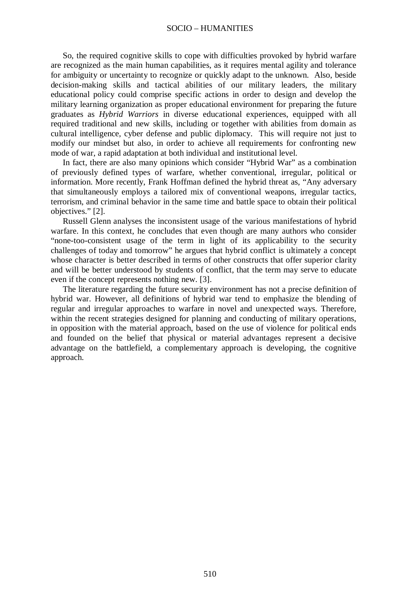#### SOCIO – HUMANITIES

So, the required cognitive skills to cope with difficulties provoked by hybrid warfare are recognized as the main human capabilities, as it requires mental agility and tolerance for ambiguity or uncertainty to recognize or quickly adapt to the unknown. Also, beside decision-making skills and tactical abilities of our military leaders, the military educational policy could comprise specific actions in order to design and develop the military learning organization as proper educational environment for preparing the future graduates as *Hybrid Warriors* in diverse educational experiences, equipped with all required traditional and new skills, including or together with abilities from domain as cultural intelligence, cyber defense and public diplomacy. This will require not just to modify our mindset but also, in order to achieve all requirements for confronting new mode of war, a rapid adaptation at both individual and institutional level.

In fact, there are also many opinions which consider "Hybrid War" as a combination of previously defined types of warfare, whether conventional, irregular, political or information. More recently, Frank Hoffman defined the hybrid threat as, "Any adversary that simultaneously employs a tailored mix of conventional weapons, irregular tactics, terrorism, and criminal behavior in the same time and battle space to obtain their political objectives." [2].

Russell Glenn analyses the inconsistent usage of the various manifestations of hybrid warfare. In this context, he concludes that even though are many authors who consider "none-too-consistent usage of the term in light of its applicability to the security challenges of today and tomorrow" he argues that hybrid conflict is ultimately a concept whose character is better described in terms of other constructs that offer superior clarity and will be better understood by students of conflict, that the term may serve to educate even if the concept represents nothing new. [3].

The literature regarding the future security environment has not a precise definition of hybrid war. However, all definitions of hybrid war tend to emphasize the blending of regular and irregular approaches to warfare in novel and unexpected ways. Therefore, within the recent strategies designed for planning and conducting of military operations, in opposition with the material approach, based on the use of violence for political ends and founded on the belief that physical or material advantages represent a decisive advantage on the battlefield, a complementary approach is developing, the cognitive approach.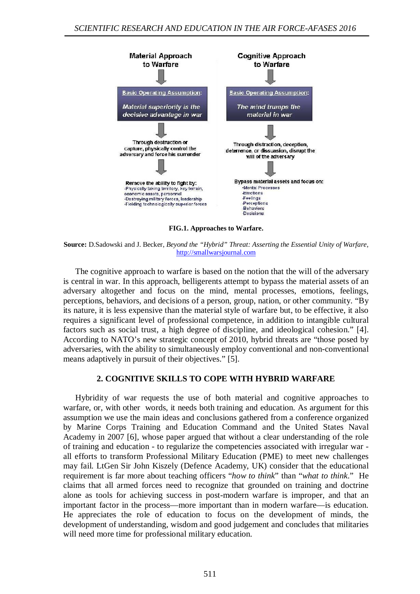

**FIG.1. Approaches to Warfare.** 

**Source:** D.Sadowski and J. Becker, *Beyond the "Hybrid" Threat: Asserting the Essential Unity of Warfare*, [http://smallwarsjournal.com](http://smallwarsjournal.com/)

The cognitive approach to warfare is based on the notion that the will of the adversary is central in war. In this approach, belligerents attempt to bypass the material assets of an adversary altogether and focus on the mind, mental processes, emotions, feelings, perceptions, behaviors, and decisions of a person, group, nation, or other community. "By its nature, it is less expensive than the material style of warfare but, to be effective, it also requires a significant level of professional competence, in addition to intangible cultural factors such as social trust, a high degree of discipline, and ideological cohesion." [4]. According to NATO's new strategic concept of 2010, hybrid threats are "those posed by adversaries, with the ability to simultaneously employ conventional and non-conventional means adaptively in pursuit of their objectives." [5].

## **2. COGNITIVE SKILLS TO COPE WITH HYBRID WARFARE**

Hybridity of war requests the use of both material and cognitive approaches to warfare, or, with other words, it needs both training and education. As argument for this assumption we use the main ideas and conclusions gathered from a conference organized by Marine Corps Training and Education Command and the United States Naval Academy in 2007 [6], whose paper argued that without a clear understanding of the role of training and education - to regularize the competencies associated with irregular war all efforts to transform Professional Military Education (PME) to meet new challenges may fail. LtGen Sir John Kiszely (Defence Academy, UK) consider that the educational requirement is far more about teaching officers "*how to think*" than "*what to think*." He claims that all armed forces need to recognize that grounded on training and doctrine alone as tools for achieving success in post-modern warfare is improper, and that an important factor in the process—more important than in modern warfare—is education. He appreciates the role of education to focus on the development of minds, the development of understanding, wisdom and good judgement and concludes that militaries will need more time for professional military education.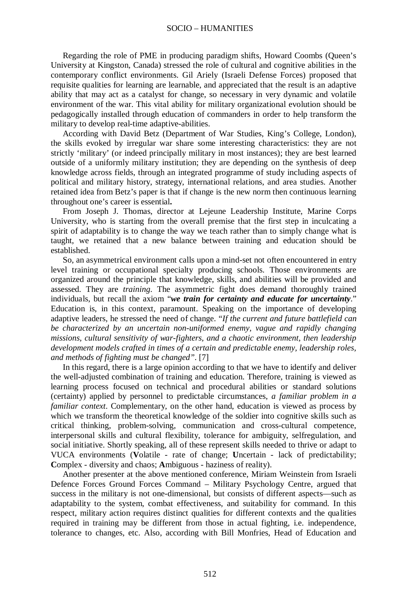Regarding the role of PME in producing paradigm shifts, Howard Coombs (Queen's University at Kingston, Canada) stressed the role of cultural and cognitive abilities in the contemporary conflict environments. Gil Ariely (Israeli Defense Forces) proposed that requisite qualities for learning are learnable, and appreciated that the result is an adaptive ability that may act as a catalyst for change, so necessary in very dynamic and volatile environment of the war. This vital ability for military organizational evolution should be pedagogically installed through education of commanders in order to help transform the military to develop real-time adaptive-abilities.

According with David Betz (Department of War Studies, King's College, London), the skills evoked by irregular war share some interesting characteristics: they are not strictly 'military' (or indeed principally military in most instances); they are best learned outside of a uniformly military institution; they are depending on the synthesis of deep knowledge across fields, through an integrated programme of study including aspects of political and military history, strategy, international relations, and area studies. Another retained idea from Betz's paper is that if change is the new norm then continuous learning throughout one's career is essential**.** 

From Joseph J. Thomas, director at Lejeune Leadership Institute, Marine Corps University, who is starting from the overall premise that the first step in inculcating a spirit of adaptability is to change the way we teach rather than to simply change what is taught, we retained that a new balance between training and education should be established.

So, an asymmetrical environment calls upon a mind-set not often encountered in entry level training or occupational specialty producing schools. Those environments are organized around the principle that knowledge, skills, and abilities will be provided and assessed. They are *training*. The asymmetric fight does demand thoroughly trained individuals, but recall the axiom "*we train for certainty and educate for uncertainty*." Education is, in this context, paramount. Speaking on the importance of developing adaptive leaders, he stressed the need of change. "*If the current and future battlefield can be characterized by an uncertain non-uniformed enemy, vague and rapidly changing missions, cultural sensitivity of war-fighters, and a chaotic environment, then leadership development models crafted in times of a certain and predictable enemy, leadership roles, and methods of fighting must be changed"*. [7]

In this regard, there is a large opinion according to that we have to identify and deliver the well-adjusted combination of training and education. Therefore, training is viewed as learning process focused on technical and procedural abilities or standard solutions (certainty) applied by personnel to predictable circumstances, *a familiar problem in a familiar context*. Complementary, on the other hand, education is viewed as process by which we transform the theoretical knowledge of the soldier into cognitive skills such as critical thinking, problem-solving, communication and cross-cultural competence, interpersonal skills and cultural flexibility, tolerance for ambiguity, selfregulation, and social initiative. Shortly speaking, all of these represent skills needed to thrive or adapt to VUCA environments (**V**olatile - rate of change; **U**ncertain - lack of predictability; **C**omplex - diversity and chaos; **A**mbiguous - haziness of reality).

Another presenter at the above mentioned conference, Miriam Weinstein from Israeli Defence Forces Ground Forces Command – Military Psychology Centre, argued that success in the military is not one-dimensional, but consists of different aspects—such as adaptability to the system, combat effectiveness, and suitability for command. In this respect, military action requires distinct qualities for different contexts and the qualities required in training may be different from those in actual fighting, i.e. independence, tolerance to changes, etc. Also, according with Bill Monfries, Head of Education and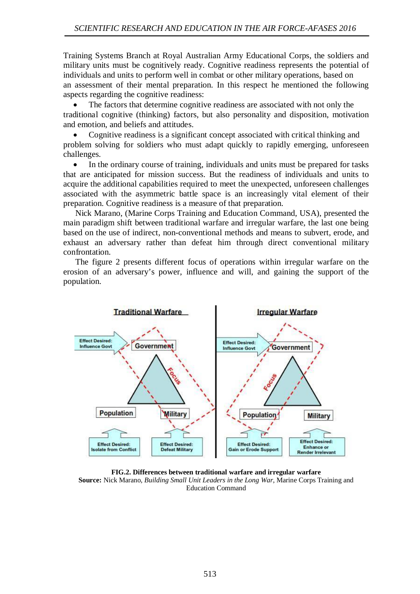Training Systems Branch at Royal Australian Army Educational Corps, the soldiers and military units must be cognitively ready. Cognitive readiness represents the potential of individuals and units to perform well in combat or other military operations, based on an assessment of their mental preparation. In this respect he mentioned the following aspects regarding the cognitive readiness:

The factors that determine cognitive readiness are associated with not only the traditional cognitive (thinking) factors, but also personality and disposition, motivation and emotion, and beliefs and attitudes.

• Cognitive readiness is a significant concept associated with critical thinking and problem solving for soldiers who must adapt quickly to rapidly emerging, unforeseen challenges.

In the ordinary course of training, individuals and units must be prepared for tasks that are anticipated for mission success. But the readiness of individuals and units to acquire the additional capabilities required to meet the unexpected, unforeseen challenges associated with the asymmetric battle space is an increasingly vital element of their preparation. Cognitive readiness is a measure of that preparation.

Nick Marano, (Marine Corps Training and Education Command, USA), presented the main paradigm shift between traditional warfare and irregular warfare, the last one being based on the use of indirect, non-conventional methods and means to subvert, erode, and exhaust an adversary rather than defeat him through direct conventional military confrontation.

The figure 2 presents different focus of operations within irregular warfare on the erosion of an adversary's power, influence and will, and gaining the support of the population.



**FIG.2. Differences between traditional warfare and irregular warfare Source:** Nick Marano, *Building Small Unit Leaders in the Long War*, Marine Corps Training and Education Command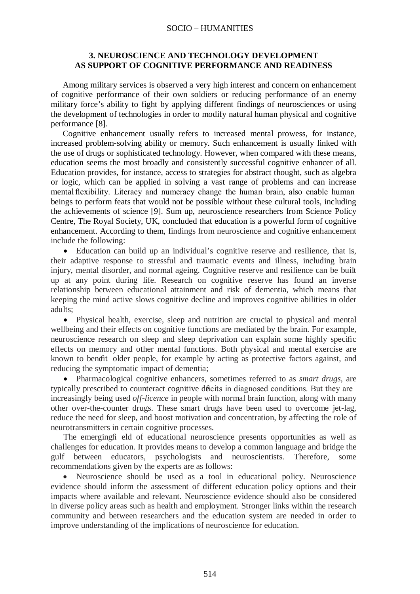#### SOCIO – HUMANITIES

### **3. NEUROSCIENCE AND TECHNOLOGY DEVELOPMENT AS SUPPORT OF COGNITIVE PERFORMANCE AND READINESS**

Among military services is observed a very high interest and concern on enhancement of cognitive performance of their own soldiers or reducing performance of an enemy military force's ability to fight by applying different findings of neurosciences or using the development of technologies in order to modify natural human physical and cognitive performance [8].

Cognitive enhancement usually refers to increased mental prowess, for instance, increased problem-solving ability or memory. Such enhancement is usually linked with the use of drugs or sophisticated technology. However, when compared with these means, education seems the most broadly and consistently successful cognitive enhancer of all. Education provides, for instance, access to strategies for abstract thought, such as algebra or logic, which can be applied in solving a vast range of problems and can increase mental flexibility. Literacy and numeracy change the human brain, also enable human beings to perform feats that would not be possible without these cultural tools, including the achievements of science [9]. Sum up, neuroscience researchers from Science Policy Centre, The Royal Society, UK, concluded that education is a powerful form of cognitive enhancement. According to them, findings from neuroscience and cognitive enhancement include the following:

• Education can build up an individual's cognitive reserve and resilience, that is, their adaptive response to stressful and traumatic events and illness, including brain injury, mental disorder, and normal ageing. Cognitive reserve and resilience can be built up at any point during life. Research on cognitive reserve has found an inverse relationship between educational attainment and risk of dementia, which means that keeping the mind active slows cognitive decline and improves cognitive abilities in older adults;

• Physical health, exercise, sleep and nutrition are crucial to physical and mental wellbeing and their effects on cognitive functions are mediated by the brain. For example, neuroscience research on sleep and sleep deprivation can explain some highly specific effects on memory and other mental functions. Both physical and mental exercise are known to benefit older people, for example by acting as protective factors against, and reducing the symptomatic impact of dementia;

• Pharmacological cognitive enhancers, sometimes referred to as *smart drugs*, are typically prescribed to counteract cognitive deficits in diagnosed conditions. But they are increasingly being used *off-licence* in people with normal brain function, along with many other over-the-counter drugs. These smart drugs have been used to overcome jet-lag, reduce the need for sleep, and boost motivation and concentration, by affecting the role of neurotransmitters in certain cognitive processes.

The emerging fi eld of educational neuroscience presents opportunities as well as challenges for education. It provides means to develop a common language and bridge the gulf between educators, psychologists and neuroscientists. Therefore, some recommendations given by the experts are as follows:

• Neuroscience should be used as a tool in educational policy. Neuroscience evidence should inform the assessment of different education policy options and their impacts where available and relevant. Neuroscience evidence should also be considered in diverse policy areas such as health and employment. Stronger links within the research community and between researchers and the education system are needed in order to improve understanding of the implications of neuroscience for education.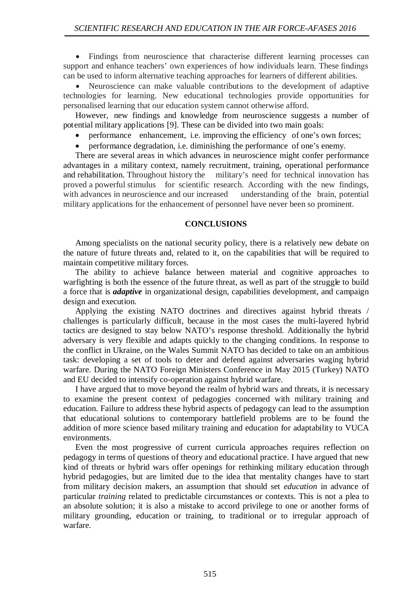• Findings from neuroscience that characterise different learning processes can support and enhance teachers' own experiences of how individuals learn. These findings can be used to inform alternative teaching approaches for learners of different abilities.

• Neuroscience can make valuable contributions to the development of adaptive technologies for learning. New educational technologies provide opportunities for personalised learning that our education system cannot otherwise afford.

However, new findings and knowledge from neuroscience suggests a number of potential military applications [9]. These can be divided into two main goals:

- performance enhancement, i.e. improving the efficiency of one's own forces;
- performance degradation, i.e. diminishing the performance of one's enemy.

There are several areas in which advances in neuroscience might confer performance advantages in a military context, namely recruitment, training, operational performance and rehabilitation. Throughout history the military's need for technical innovation has proved a powerful stimulus for scientific research. According with the new findings, with advances in neuroscience and our increased understanding of the brain, potential military applications for the enhancement of personnel have never been so prominent.

#### **CONCLUSIONS**

Among specialists on the national security policy, there is a relatively new debate on the nature of future threats and, related to it, on the capabilities that will be required to maintain competitive military forces.

The ability to achieve balance between material and cognitive approaches to warfighting is both the essence of the future threat, as well as part of the struggle to build a force that is *adaptive* in organizational design, capabilities development, and campaign design and execution.

Applying the existing NATO doctrines and directives against hybrid threats / challenges is particularly difficult, because in the most cases the multi-layered hybrid tactics are designed to stay below NATO's response threshold. Additionally the hybrid adversary is very flexible and adapts quickly to the changing conditions. In response to the conflict in Ukraine, on the Wales Summit NATO has decided to take on an ambitious task: developing a set of tools to deter and defend against adversaries waging hybrid warfare. During the NATO Foreign Ministers Conference in May 2015 (Turkey) NATO and EU decided to intensify co-operation against hybrid warfare.

I have argued that to move beyond the realm of hybrid wars and threats, it is necessary to examine the present context of pedagogies concerned with military training and education. Failure to address these hybrid aspects of pedagogy can lead to the assumption that educational solutions to contemporary battlefield problems are to be found the addition of more science based military training and education for adaptability to VUCA environments.

Even the most progressive of current curricula approaches requires reflection on pedagogy in terms of questions of theory and educational practice. I have argued that new kind of threats or hybrid wars offer openings for rethinking military education through hybrid pedagogies, but are limited due to the idea that mentality changes have to start from military decision makers, an assumption that should set *education* in advance of particular *training* related to predictable circumstances or contexts. This is not a plea to an absolute solution; it is also a mistake to accord privilege to one or another forms of military grounding, education or training, to traditional or to irregular approach of warfare.